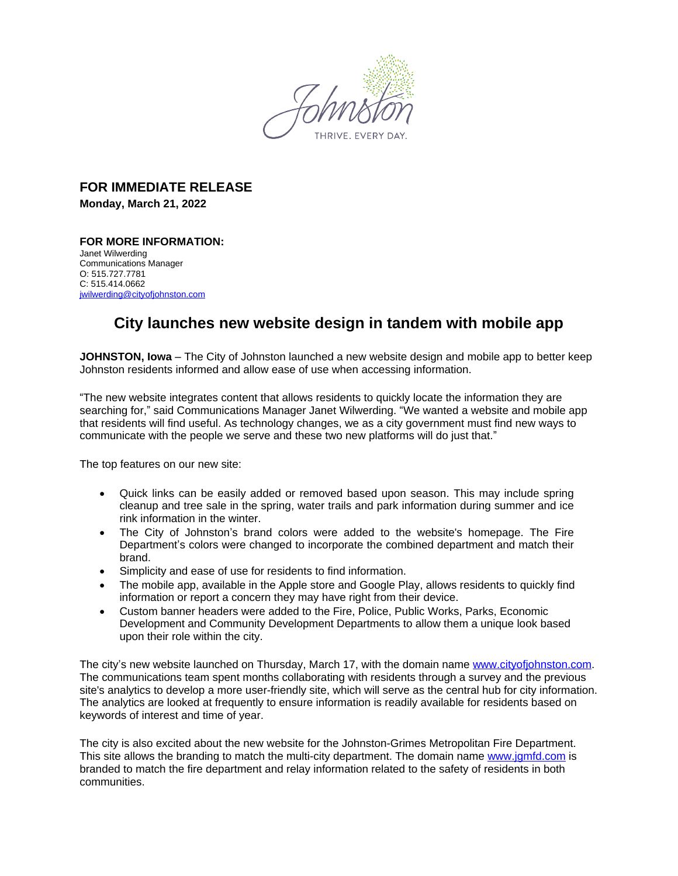

## **FOR IMMEDIATE RELEASE**

**Monday, March 21, 2022**

## **FOR MORE INFORMATION:**  Janet Wilwerding Communications Manager O: 515.727.7781 C: 515.414.0662 [jwilwerding@cityofjohnston.com](mailto:jwilwerding@cityofjohnston.com)

## **City launches new website design in tandem with mobile app**

**JOHNSTON, Iowa** – The City of Johnston launched a new website design and mobile app to better keep Johnston residents informed and allow ease of use when accessing information.

"The new website integrates content that allows residents to quickly locate the information they are searching for," said Communications Manager Janet Wilwerding. "We wanted a website and mobile app that residents will find useful. As technology changes, we as a city government must find new ways to communicate with the people we serve and these two new platforms will do just that."

The top features on our new site:

- Quick links can be easily added or removed based upon season. This may include spring cleanup and tree sale in the spring, water trails and park information during summer and ice rink information in the winter.
- The City of Johnston's brand colors were added to the website's homepage. The Fire Department's colors were changed to incorporate the combined department and match their brand.
- Simplicity and ease of use for residents to find information.
- The mobile app, available in the Apple store and Google Play, allows residents to quickly find information or report a concern they may have right from their device.
- Custom banner headers were added to the Fire, Police, Public Works, Parks, Economic Development and Community Development Departments to allow them a unique look based upon their role within the city.

The city's new website launched on Thursday, March 17, with the domain name www.cityofiohnston.com. The communications team spent months collaborating with residents through a survey and the previous site's analytics to develop a more user-friendly site, which will serve as the central hub for city information. The analytics are looked at frequently to ensure information is readily available for residents based on keywords of interest and time of year.

The city is also excited about the new website for the Johnston-Grimes Metropolitan Fire Department. This site allows the branding to match the multi-city department. The domain name [www.jgmfd.com](http://www.jgmfd.com) is branded to match the fire department and relay information related to the safety of residents in both communities.